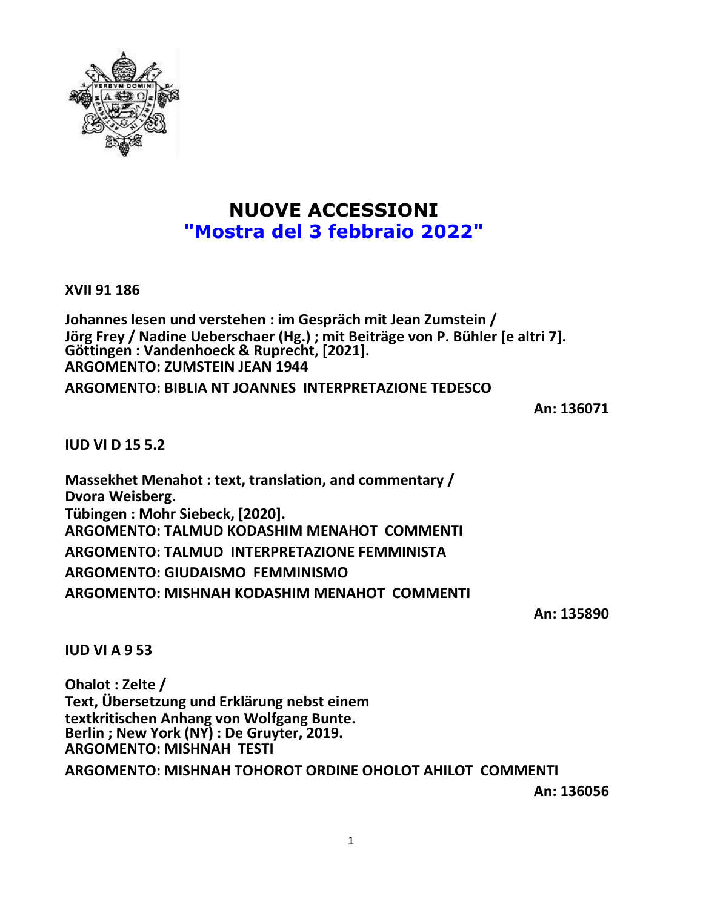

# **NUOVE ACCESSIONI "Mostra del 3 febbraio 2022"**

**XVII 91 186**

**Johannes lesen und verstehen : im Gespräch mit Jean Zumstein / Jörg Frey / Nadine Ueberschaer (Hg.) ; mit Beiträge von P. Bühler [e altri 7]. Göttingen : Vandenhoeck & Ruprecht, [2021]. ARGOMENTO: ZUMSTEIN JEAN 1944**

**ARGOMENTO: BIBLIA NT JOANNES INTERPRETAZIONE TEDESCO**

**An: 136071**

**IUD VI D 15 5.2**

**Massekhet Menahot : text, translation, and commentary / Dvora Weisberg. Tübingen : Mohr Siebeck, [2020]. ARGOMENTO: TALMUD KODASHIM MENAHOT COMMENTI ARGOMENTO: TALMUD INTERPRETAZIONE FEMMINISTA ARGOMENTO: GIUDAISMO FEMMINISMO ARGOMENTO: MISHNAH KODASHIM MENAHOT COMMENTI**

**An: 135890**

**IUD VI A 9 53**

**Ohalot : Zelte / Text, Übersetzung und Erklärung nebst einem textkritischen Anhang von Wolfgang Bunte. Berlin ; New York (NY) : De Gruyter, 2019. ARGOMENTO: MISHNAH TESTI ARGOMENTO: MISHNAH TOHOROT ORDINE OHOLOT AHILOT COMMENTI**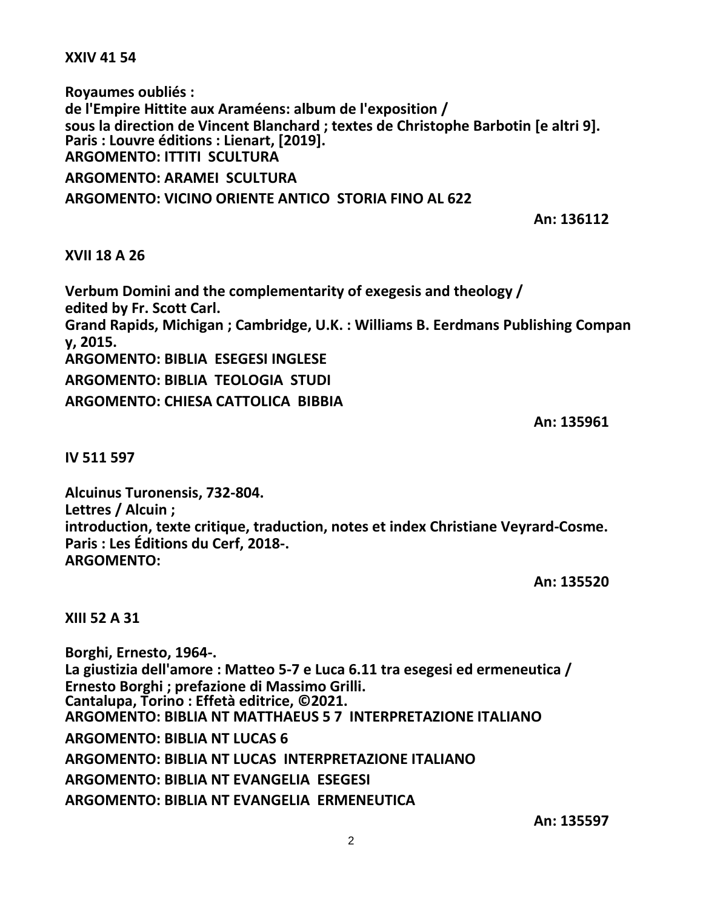**XXIV 41 54**

**Royaumes oubliés : de l'Empire Hittite aux Araméens: album de l'exposition / sous la direction de Vincent Blanchard ; textes de Christophe Barbotin [e altri 9]. Paris : Louvre éditions : Lienart, [2019]. ARGOMENTO: ITTITI SCULTURA ARGOMENTO: ARAMEI SCULTURA ARGOMENTO: VICINO ORIENTE ANTICO STORIA FINO AL 622**

**An: 136112**

## **XVII 18 A 26**

**Verbum Domini and the complementarity of exegesis and theology / edited by Fr. Scott Carl. Grand Rapids, Michigan ; Cambridge, U.K. : Williams B. Eerdmans Publishing Compan y, 2015. ARGOMENTO: BIBLIA ESEGESI INGLESE ARGOMENTO: BIBLIA TEOLOGIA STUDI ARGOMENTO: CHIESA CATTOLICA BIBBIA**

**An: 135961**

**IV 511 597**

**Alcuinus Turonensis, 732-804. Lettres / Alcuin ; introduction, texte critique, traduction, notes et index Christiane Veyrard-Cosme. Paris : Les Éditions du Cerf, 2018-. ARGOMENTO:**

**An: 135520**

**XIII 52 A 31**

**Borghi, Ernesto, 1964-. La giustizia dell'amore : Matteo 5-7 e Luca 6.11 tra esegesi ed ermeneutica / Ernesto Borghi ; prefazione di Massimo Grilli. Cantalupa, Torino : Effetà editrice, ©2021. ARGOMENTO: BIBLIA NT MATTHAEUS 5 7 INTERPRETAZIONE ITALIANO ARGOMENTO: BIBLIA NT LUCAS 6 ARGOMENTO: BIBLIA NT LUCAS INTERPRETAZIONE ITALIANO ARGOMENTO: BIBLIA NT EVANGELIA ESEGESI ARGOMENTO: BIBLIA NT EVANGELIA ERMENEUTICA**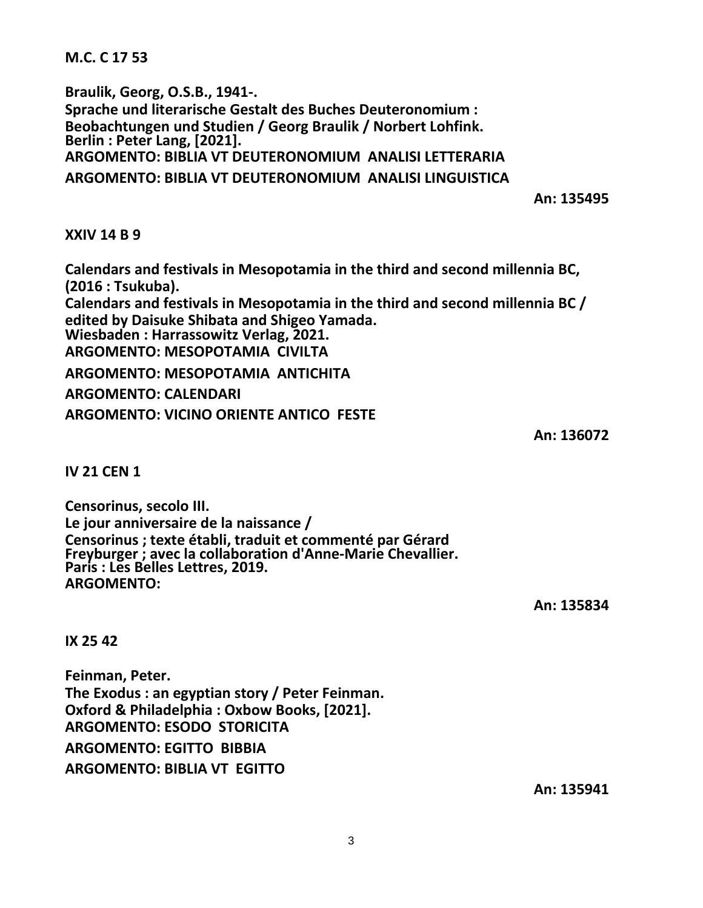**M.C. C 17 53**

**Braulik, Georg, O.S.B., 1941-. Sprache und literarische Gestalt des Buches Deuteronomium : Beobachtungen und Studien / Georg Braulik / Norbert Lohfink. Berlin : Peter Lang, [2021]. ARGOMENTO: BIBLIA VT DEUTERONOMIUM ANALISI LETTERARIA ARGOMENTO: BIBLIA VT DEUTERONOMIUM ANALISI LINGUISTICA**

**An: 135495**

**XXIV 14 B 9**

**Calendars and festivals in Mesopotamia in the third and second millennia BC, (2016 : Tsukuba). Calendars and festivals in Mesopotamia in the third and second millennia BC / edited by Daisuke Shibata and Shigeo Yamada. Wiesbaden : Harrassowitz Verlag, 2021. ARGOMENTO: MESOPOTAMIA CIVILTA ARGOMENTO: MESOPOTAMIA ANTICHITA ARGOMENTO: CALENDARI ARGOMENTO: VICINO ORIENTE ANTICO FESTE**

**An: 136072**

**IV 21 CEN 1**

**Censorinus, secolo III. Le jour anniversaire de la naissance / Censorinus ; texte établi, traduit et commenté par Gérard Freyburger ; avec la collaboration d'Anne-Marie Chevallier. Paris : Les Belles Lettres, 2019. ARGOMENTO:**

**An: 135834**

**IX 25 42**

**Feinman, Peter. The Exodus : an egyptian story / Peter Feinman. Oxford & Philadelphia : Oxbow Books, [2021]. ARGOMENTO: ESODO STORICITA ARGOMENTO: EGITTO BIBBIA ARGOMENTO: BIBLIA VT EGITTO**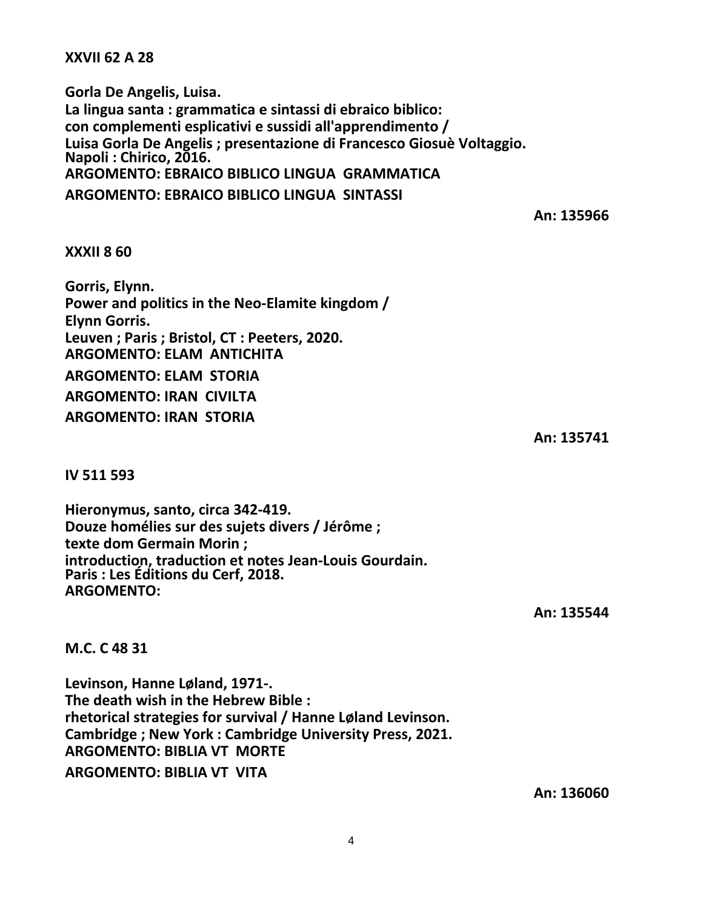**XXVII 62 A 28**

**Gorla De Angelis, Luisa. La lingua santa : grammatica e sintassi di ebraico biblico: con complementi esplicativi e sussidi all'apprendimento / Luisa Gorla De Angelis ; presentazione di Francesco Giosuè Voltaggio. Napoli : Chirico, 2016. ARGOMENTO: EBRAICO BIBLICO LINGUA GRAMMATICA ARGOMENTO: EBRAICO BIBLICO LINGUA SINTASSI**

**An: 135966**

#### **XXXII 8 60**

**Gorris, Elynn. Power and politics in the Neo-Elamite kingdom / Elynn Gorris. Leuven ; Paris ; Bristol, CT : Peeters, 2020. ARGOMENTO: ELAM ANTICHITA ARGOMENTO: ELAM STORIA ARGOMENTO: IRAN CIVILTA ARGOMENTO: IRAN STORIA**

**An: 135741**

**IV 511 593**

**Hieronymus, santo, circa 342-419. Douze homélies sur des sujets divers / Jérôme ; texte dom Germain Morin ; introduction, traduction et notes Jean-Louis Gourdain. Paris : Les Éditions du Cerf, 2018. ARGOMENTO:**

**An: 135544**

**M.C. C 48 31**

**Levinson, Hanne Løland, 1971-. The death wish in the Hebrew Bible : rhetorical strategies for survival / Hanne Løland Levinson. Cambridge ; New York : Cambridge University Press, 2021. ARGOMENTO: BIBLIA VT MORTE ARGOMENTO: BIBLIA VT VITA**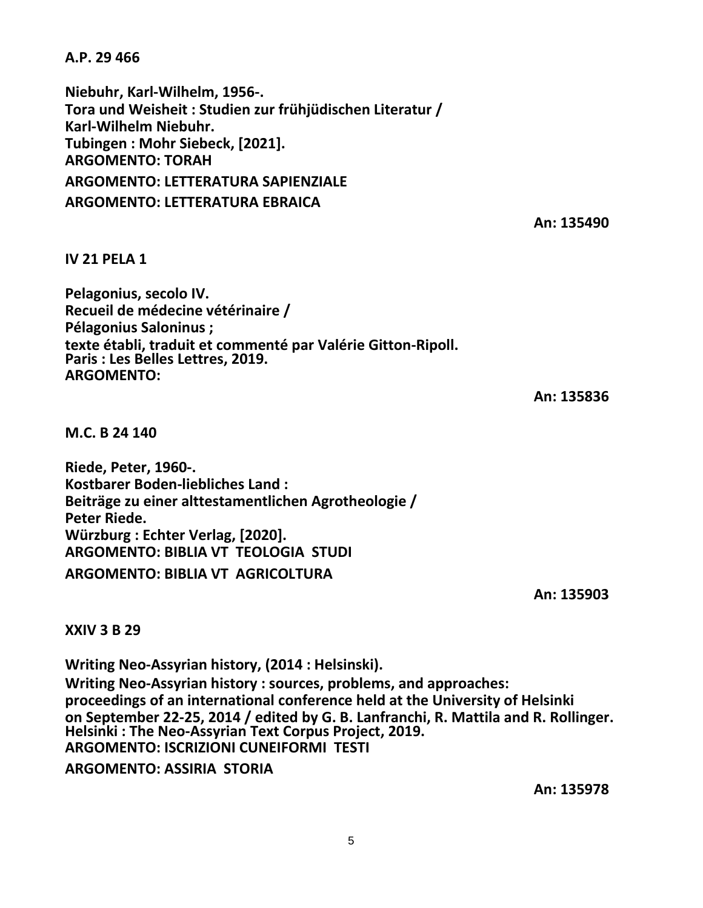**A.P. 29 466**

**Niebuhr, Karl-Wilhelm, 1956-. Tora und Weisheit : Studien zur frühjüdischen Literatur / Karl-Wilhelm Niebuhr. Tubingen : Mohr Siebeck, [2021]. ARGOMENTO: TORAH ARGOMENTO: LETTERATURA SAPIENZIALE ARGOMENTO: LETTERATURA EBRAICA**

**An: 135490**

# **IV 21 PELA 1**

**Pelagonius, secolo IV. Recueil de médecine vétérinaire / Pélagonius Saloninus ; texte établi, traduit et commenté par Valérie Gitton-Ripoll. Paris : Les Belles Lettres, 2019. ARGOMENTO:**

**An: 135836**

**M.C. B 24 140**

**Riede, Peter, 1960-. Kostbarer Boden-liebliches Land : Beiträge zu einer alttestamentlichen Agrotheologie / Peter Riede. Würzburg : Echter Verlag, [2020]. ARGOMENTO: BIBLIA VT TEOLOGIA STUDI ARGOMENTO: BIBLIA VT AGRICOLTURA**

**An: 135903**

## **XXIV 3 B 29**

**Writing Neo-Assyrian history, (2014 : Helsinski). Writing Neo-Assyrian history : sources, problems, and approaches: proceedings of an international conference held at the University of Helsinki on September 22-25, 2014 / edited by G. B. Lanfranchi, R. Mattila and R. Rollinger. Helsinki : The Neo-Assyrian Text Corpus Project, 2019. ARGOMENTO: ISCRIZIONI CUNEIFORMI TESTI**

**ARGOMENTO: ASSIRIA STORIA**